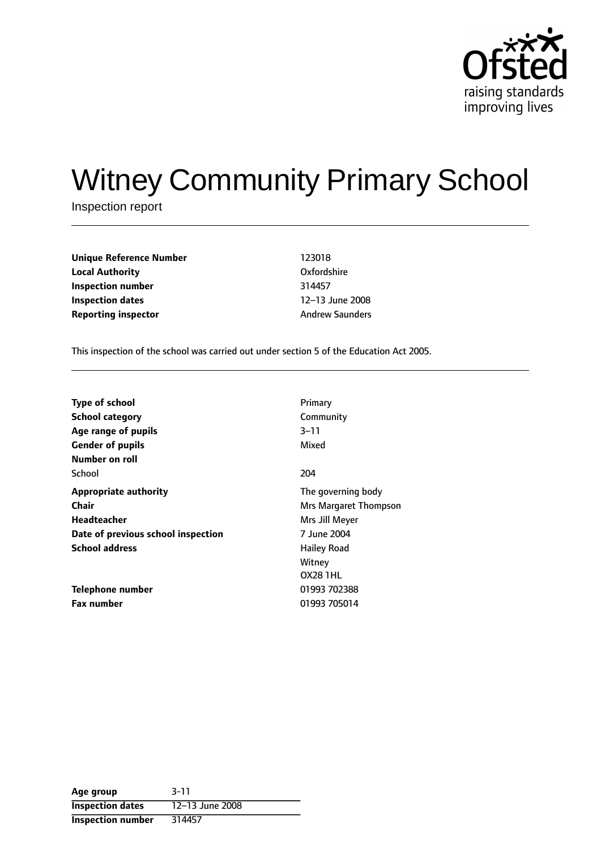

# Witney Community Primary School

Inspection report

**Unique Reference Number** 123018 **Local Authority** Oxfordshire **Inspection number** 314457 **Inspection dates** 12-13 June 2008 **Reporting inspector** Andrew Saunders

This inspection of the school was carried out under section 5 of the Education Act 2005.

| <b>Type of school</b>              | Primary               |
|------------------------------------|-----------------------|
| <b>School category</b>             | Community             |
| Age range of pupils                | 3–11                  |
| <b>Gender of pupils</b>            | Mixed                 |
| Number on roll                     |                       |
| School                             | 204                   |
| <b>Appropriate authority</b>       | The governing body    |
| Chair                              | Mrs Margaret Thompson |
| Headteacher                        | Mrs Jill Meyer        |
| Date of previous school inspection | 7 June 2004           |
| <b>School address</b>              | <b>Hailey Road</b>    |
|                                    | Witney                |
|                                    | <b>OX28 1HL</b>       |
| <b>Telephone number</b>            | 01993 702388          |
| <b>Fax number</b>                  | 01993 705014          |

| Age group                | $3 - 11$        |
|--------------------------|-----------------|
| <b>Inspection dates</b>  | 12-13 June 2008 |
| <b>Inspection number</b> | 314457          |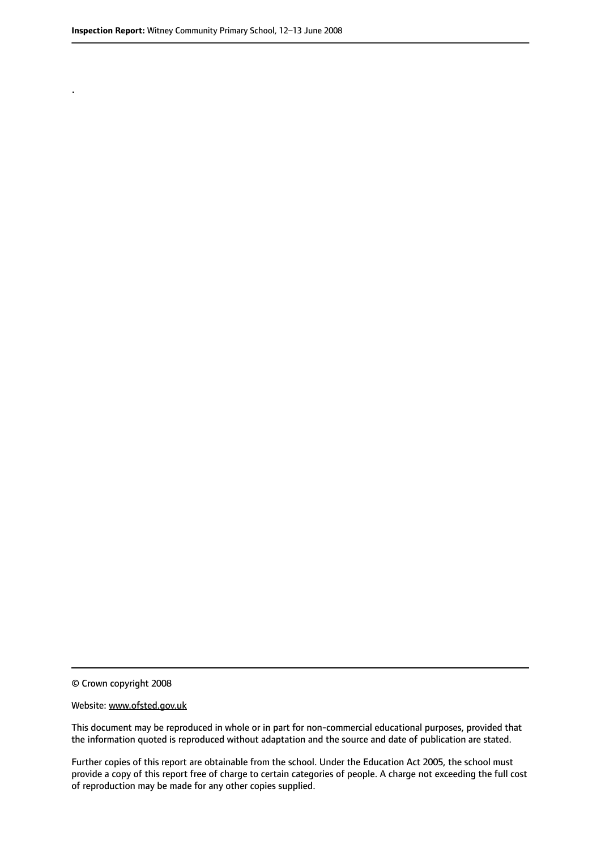.

© Crown copyright 2008

#### Website: www.ofsted.gov.uk

This document may be reproduced in whole or in part for non-commercial educational purposes, provided that the information quoted is reproduced without adaptation and the source and date of publication are stated.

Further copies of this report are obtainable from the school. Under the Education Act 2005, the school must provide a copy of this report free of charge to certain categories of people. A charge not exceeding the full cost of reproduction may be made for any other copies supplied.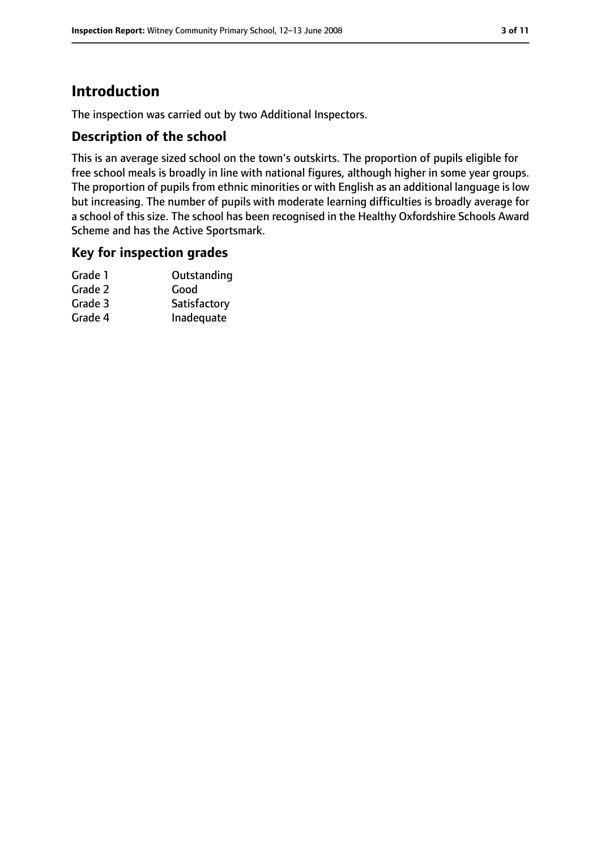# **Introduction**

The inspection was carried out by two Additional Inspectors.

#### **Description of the school**

This is an average sized school on the town's outskirts. The proportion of pupils eligible for free school meals is broadly in line with national figures, although higher in some year groups. The proportion of pupils from ethnic minorities or with English as an additional language is low but increasing. The number of pupils with moderate learning difficulties is broadly average for a school of this size. The school has been recognised in the Healthy Oxfordshire Schools Award Scheme and has the Active Sportsmark.

#### **Key for inspection grades**

| Grade 1 | Outstanding  |
|---------|--------------|
| Grade 2 | Good         |
| Grade 3 | Satisfactory |
| Grade 4 | Inadequate   |
|         |              |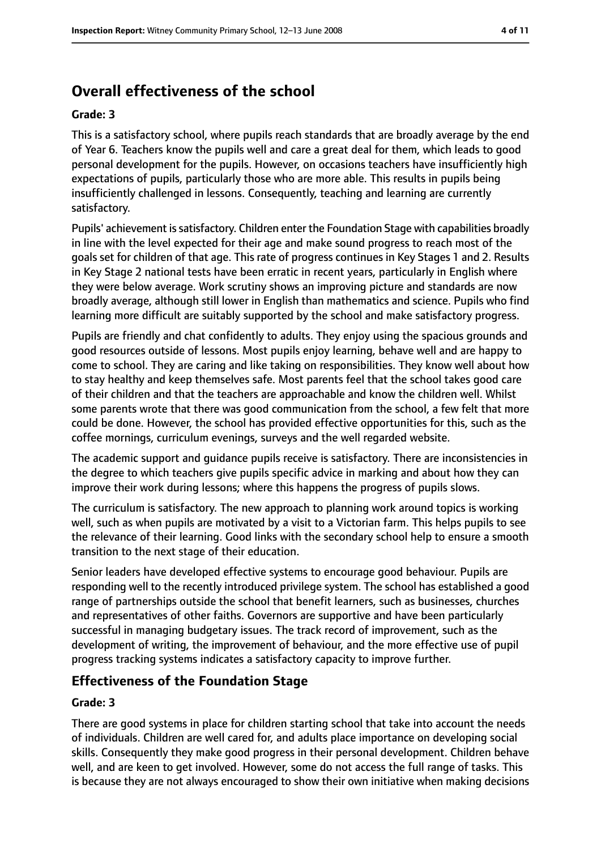# **Overall effectiveness of the school**

#### **Grade: 3**

This is a satisfactory school, where pupils reach standards that are broadly average by the end of Year 6. Teachers know the pupils well and care a great deal for them, which leads to good personal development for the pupils. However, on occasions teachers have insufficiently high expectations of pupils, particularly those who are more able. This results in pupils being insufficiently challenged in lessons. Consequently, teaching and learning are currently satisfactory.

Pupils' achievement issatisfactory. Children enter the Foundation Stage with capabilities broadly in line with the level expected for their age and make sound progress to reach most of the goals set for children of that age. This rate of progress continues in Key Stages 1 and 2. Results in Key Stage 2 national tests have been erratic in recent years, particularly in English where they were below average. Work scrutiny shows an improving picture and standards are now broadly average, although still lower in English than mathematics and science. Pupils who find learning more difficult are suitably supported by the school and make satisfactory progress.

Pupils are friendly and chat confidently to adults. They enjoy using the spacious grounds and good resources outside of lessons. Most pupils enjoy learning, behave well and are happy to come to school. They are caring and like taking on responsibilities. They know well about how to stay healthy and keep themselves safe. Most parents feel that the school takes good care of their children and that the teachers are approachable and know the children well. Whilst some parents wrote that there was good communication from the school, a few felt that more could be done. However, the school has provided effective opportunities for this, such as the coffee mornings, curriculum evenings, surveys and the well regarded website.

The academic support and guidance pupils receive is satisfactory. There are inconsistencies in the degree to which teachers give pupils specific advice in marking and about how they can improve their work during lessons; where this happens the progress of pupils slows.

The curriculum is satisfactory. The new approach to planning work around topics is working well, such as when pupils are motivated by a visit to a Victorian farm. This helps pupils to see the relevance of their learning. Good links with the secondary school help to ensure a smooth transition to the next stage of their education.

Senior leaders have developed effective systems to encourage good behaviour. Pupils are responding well to the recently introduced privilege system. The school has established a good range of partnerships outside the school that benefit learners, such as businesses, churches and representatives of other faiths. Governors are supportive and have been particularly successful in managing budgetary issues. The track record of improvement, such as the development of writing, the improvement of behaviour, and the more effective use of pupil progress tracking systems indicates a satisfactory capacity to improve further.

### **Effectiveness of the Foundation Stage**

#### **Grade: 3**

There are good systems in place for children starting school that take into account the needs of individuals. Children are well cared for, and adults place importance on developing social skills. Consequently they make good progress in their personal development. Children behave well, and are keen to get involved. However, some do not access the full range of tasks. This is because they are not always encouraged to show their own initiative when making decisions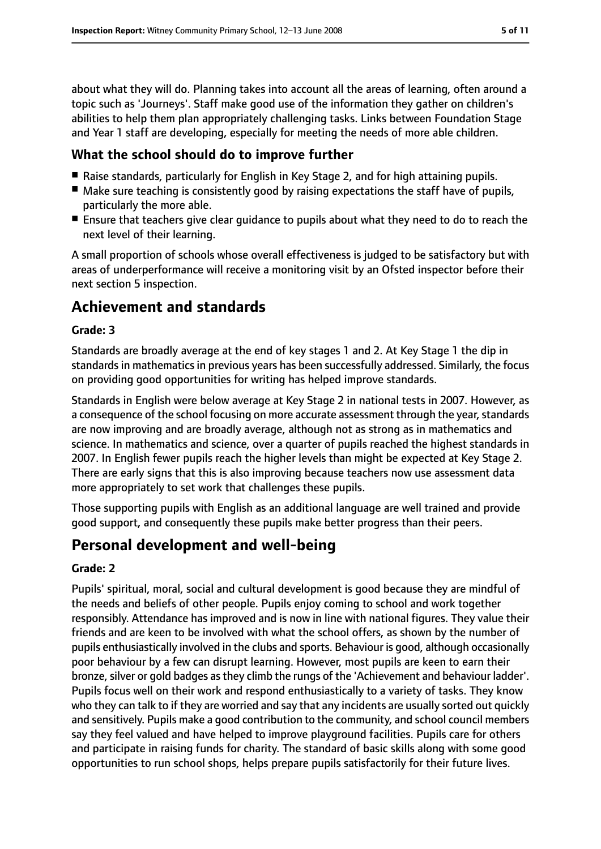about what they will do. Planning takes into account all the areas of learning, often around a topic such as 'Journeys'. Staff make good use of the information they gather on children's abilities to help them plan appropriately challenging tasks. Links between Foundation Stage and Year 1 staff are developing, especially for meeting the needs of more able children.

#### **What the school should do to improve further**

- Raise standards, particularly for English in Key Stage 2, and for high attaining pupils.
- Make sure teaching is consistently good by raising expectations the staff have of pupils, particularly the more able.
- Ensure that teachers give clear guidance to pupils about what they need to do to reach the next level of their learning.

A small proportion of schools whose overall effectiveness is judged to be satisfactory but with areas of underperformance will receive a monitoring visit by an Ofsted inspector before their next section 5 inspection.

# **Achievement and standards**

#### **Grade: 3**

Standards are broadly average at the end of key stages 1 and 2. At Key Stage 1 the dip in standards in mathematics in previous years has been successfully addressed. Similarly, the focus on providing good opportunities for writing has helped improve standards.

Standards in English were below average at Key Stage 2 in national tests in 2007. However, as a consequence of the school focusing on more accurate assessment through the year, standards are now improving and are broadly average, although not as strong as in mathematics and science. In mathematics and science, over a quarter of pupils reached the highest standards in 2007. In English fewer pupils reach the higher levels than might be expected at Key Stage 2. There are early signs that this is also improving because teachers now use assessment data more appropriately to set work that challenges these pupils.

Those supporting pupils with English as an additional language are well trained and provide good support, and consequently these pupils make better progress than their peers.

# **Personal development and well-being**

#### **Grade: 2**

Pupils' spiritual, moral, social and cultural development is good because they are mindful of the needs and beliefs of other people. Pupils enjoy coming to school and work together responsibly. Attendance has improved and is now in line with national figures. They value their friends and are keen to be involved with what the school offers, as shown by the number of pupils enthusiastically involved in the clubs and sports. Behaviour is good, although occasionally poor behaviour by a few can disrupt learning. However, most pupils are keen to earn their bronze, silver or gold badges as they climb the rungs of the 'Achievement and behaviour ladder'. Pupils focus well on their work and respond enthusiastically to a variety of tasks. They know who they can talk to if they are worried and say that any incidents are usually sorted out quickly and sensitively. Pupils make a good contribution to the community, and school council members say they feel valued and have helped to improve playground facilities. Pupils care for others and participate in raising funds for charity. The standard of basic skills along with some good opportunities to run school shops, helps prepare pupils satisfactorily for their future lives.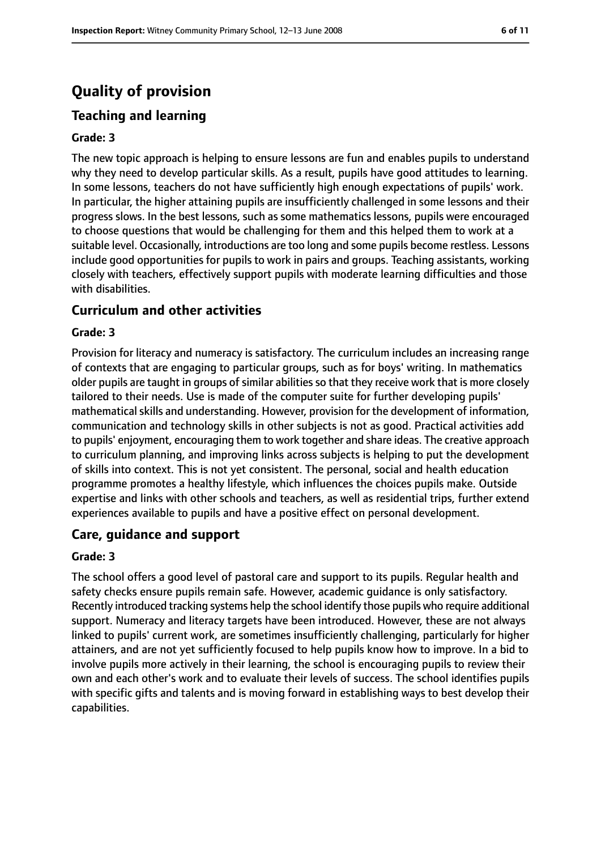# **Quality of provision**

# **Teaching and learning**

#### **Grade: 3**

The new topic approach is helping to ensure lessons are fun and enables pupils to understand why they need to develop particular skills. As a result, pupils have good attitudes to learning. In some lessons, teachers do not have sufficiently high enough expectations of pupils' work. In particular, the higher attaining pupils are insufficiently challenged in some lessons and their progress slows. In the best lessons, such as some mathematics lessons, pupils were encouraged to choose questions that would be challenging for them and this helped them to work at a suitable level. Occasionally, introductions are too long and some pupils become restless. Lessons include good opportunities for pupils to work in pairs and groups. Teaching assistants, working closely with teachers, effectively support pupils with moderate learning difficulties and those with disabilities.

#### **Curriculum and other activities**

#### **Grade: 3**

Provision for literacy and numeracy is satisfactory. The curriculum includes an increasing range of contexts that are engaging to particular groups, such as for boys' writing. In mathematics older pupils are taught in groups of similar abilities so that they receive work that is more closely tailored to their needs. Use is made of the computer suite for further developing pupils' mathematical skills and understanding. However, provision for the development of information, communication and technology skills in other subjects is not as good. Practical activities add to pupils' enjoyment, encouraging them to work together and share ideas. The creative approach to curriculum planning, and improving links across subjects is helping to put the development of skills into context. This is not yet consistent. The personal, social and health education programme promotes a healthy lifestyle, which influences the choices pupils make. Outside expertise and links with other schools and teachers, as well as residential trips, further extend experiences available to pupils and have a positive effect on personal development.

#### **Care, guidance and support**

#### **Grade: 3**

The school offers a good level of pastoral care and support to its pupils. Regular health and safety checks ensure pupils remain safe. However, academic guidance is only satisfactory. Recently introduced tracking systems help the school identify those pupils who require additional support. Numeracy and literacy targets have been introduced. However, these are not always linked to pupils' current work, are sometimes insufficiently challenging, particularly for higher attainers, and are not yet sufficiently focused to help pupils know how to improve. In a bid to involve pupils more actively in their learning, the school is encouraging pupils to review their own and each other's work and to evaluate their levels of success. The school identifies pupils with specific gifts and talents and is moving forward in establishing ways to best develop their capabilities.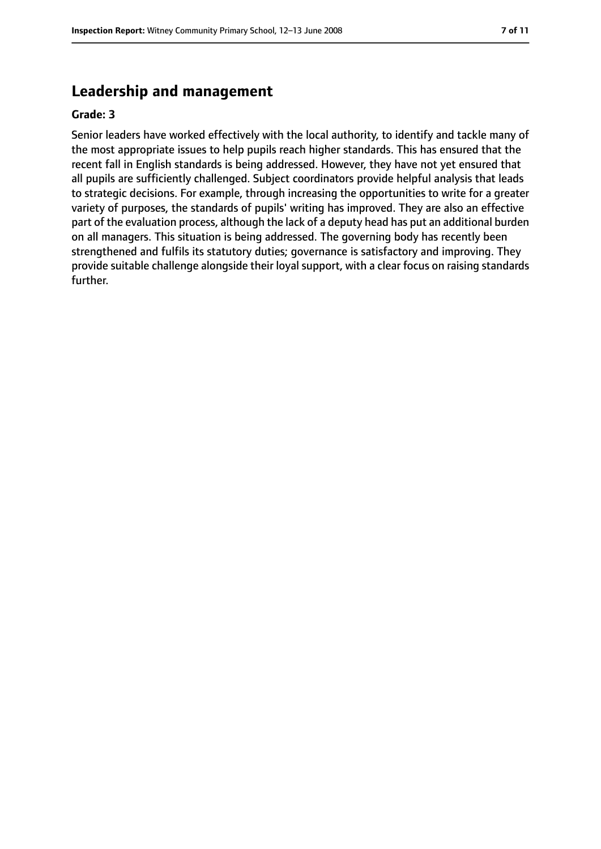# **Leadership and management**

#### **Grade: 3**

Senior leaders have worked effectively with the local authority, to identify and tackle many of the most appropriate issues to help pupils reach higher standards. This has ensured that the recent fall in English standards is being addressed. However, they have not yet ensured that all pupils are sufficiently challenged. Subject coordinators provide helpful analysis that leads to strategic decisions. For example, through increasing the opportunities to write for a greater variety of purposes, the standards of pupils' writing has improved. They are also an effective part of the evaluation process, although the lack of a deputy head has put an additional burden on all managers. This situation is being addressed. The governing body has recently been strengthened and fulfils its statutory duties; governance is satisfactory and improving. They provide suitable challenge alongside their loyal support, with a clear focus on raising standards further.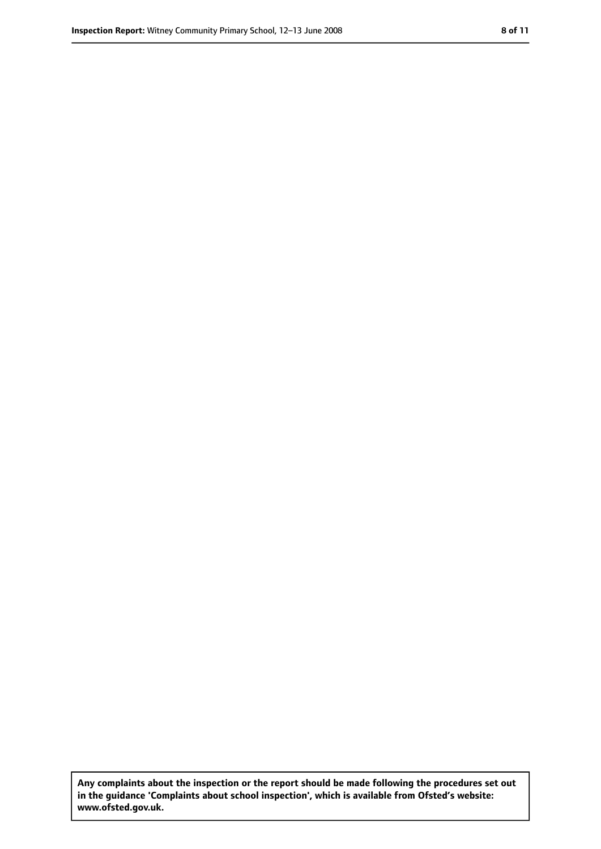**Any complaints about the inspection or the report should be made following the procedures set out in the guidance 'Complaints about school inspection', which is available from Ofsted's website: www.ofsted.gov.uk.**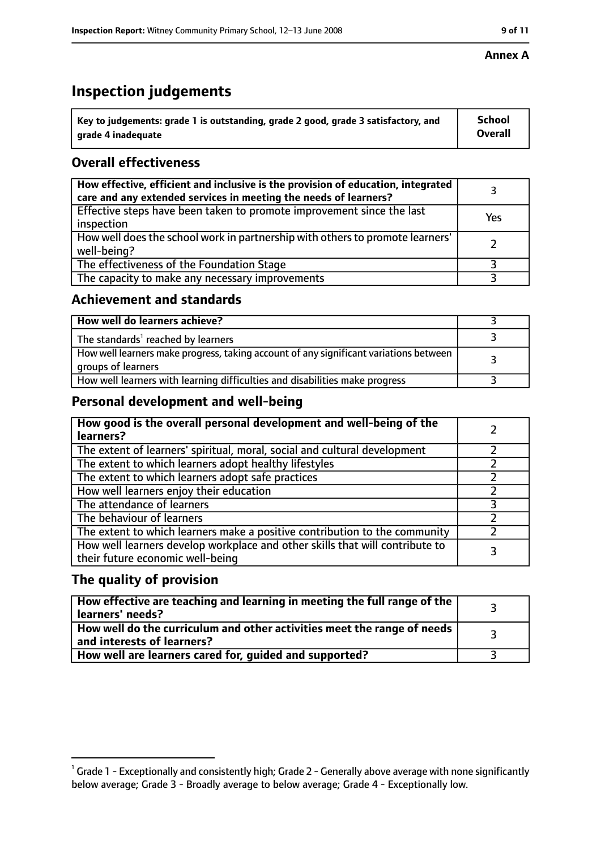# **Inspection judgements**

| $^{\backprime}$ Key to judgements: grade 1 is outstanding, grade 2 good, grade 3 satisfactory, and | School         |
|----------------------------------------------------------------------------------------------------|----------------|
| arade 4 inadeguate                                                                                 | <b>Overall</b> |

# **Overall effectiveness**

| How effective, efficient and inclusive is the provision of education, integrated<br>care and any extended services in meeting the needs of learners? |     |
|------------------------------------------------------------------------------------------------------------------------------------------------------|-----|
| Effective steps have been taken to promote improvement since the last<br>inspection                                                                  | Yes |
| How well does the school work in partnership with others to promote learners'<br>well-being?                                                         |     |
| The effectiveness of the Foundation Stage                                                                                                            |     |
| The capacity to make any necessary improvements                                                                                                      |     |

#### **Achievement and standards**

| How well do learners achieve?                                                                               |  |
|-------------------------------------------------------------------------------------------------------------|--|
| The standards <sup>1</sup> reached by learners                                                              |  |
| How well learners make progress, taking account of any significant variations between<br>groups of learners |  |
| How well learners with learning difficulties and disabilities make progress                                 |  |

### **Personal development and well-being**

| How good is the overall personal development and well-being of the<br>learners?                                  |  |
|------------------------------------------------------------------------------------------------------------------|--|
| The extent of learners' spiritual, moral, social and cultural development                                        |  |
| The extent to which learners adopt healthy lifestyles                                                            |  |
| The extent to which learners adopt safe practices                                                                |  |
| How well learners enjoy their education                                                                          |  |
| The attendance of learners                                                                                       |  |
| The behaviour of learners                                                                                        |  |
| The extent to which learners make a positive contribution to the community                                       |  |
| How well learners develop workplace and other skills that will contribute to<br>their future economic well-being |  |

#### **The quality of provision**

| How effective are teaching and learning in meeting the full range of the<br>learners' needs?          |  |
|-------------------------------------------------------------------------------------------------------|--|
| How well do the curriculum and other activities meet the range of needs<br>and interests of learners? |  |
| How well are learners cared for, guided and supported?                                                |  |

 $^1$  Grade 1 - Exceptionally and consistently high; Grade 2 - Generally above average with none significantly below average; Grade 3 - Broadly average to below average; Grade 4 - Exceptionally low.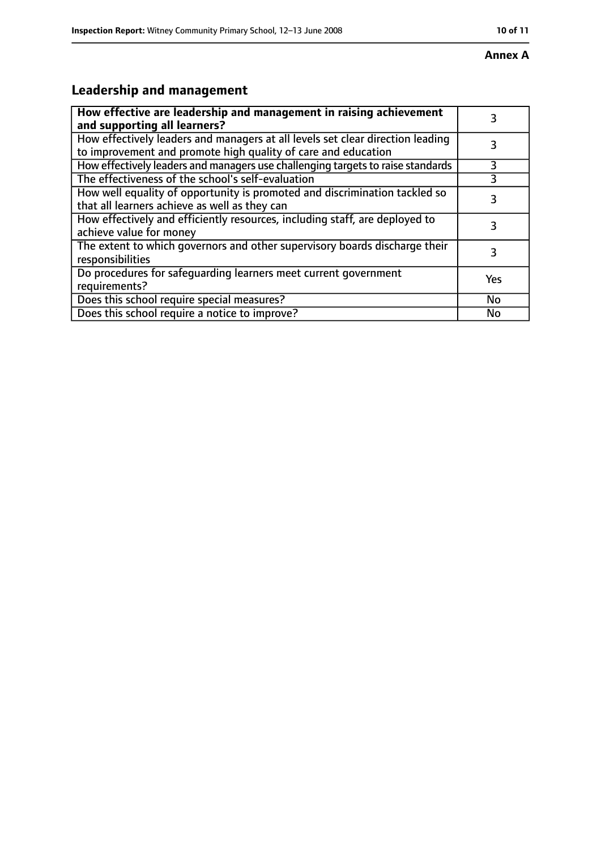# **Leadership and management**

| How effective are leadership and management in raising achievement<br>and supporting all learners?                                              |     |
|-------------------------------------------------------------------------------------------------------------------------------------------------|-----|
| How effectively leaders and managers at all levels set clear direction leading<br>to improvement and promote high quality of care and education |     |
| How effectively leaders and managers use challenging targets to raise standards                                                                 | 3   |
| The effectiveness of the school's self-evaluation                                                                                               |     |
| How well equality of opportunity is promoted and discrimination tackled so<br>that all learners achieve as well as they can                     | 3   |
| How effectively and efficiently resources, including staff, are deployed to<br>achieve value for money                                          | 3   |
| The extent to which governors and other supervisory boards discharge their<br>responsibilities                                                  | 3   |
| Do procedures for safequarding learners meet current government<br>requirements?                                                                | Yes |
| Does this school require special measures?                                                                                                      | No  |
| Does this school require a notice to improve?                                                                                                   | No  |